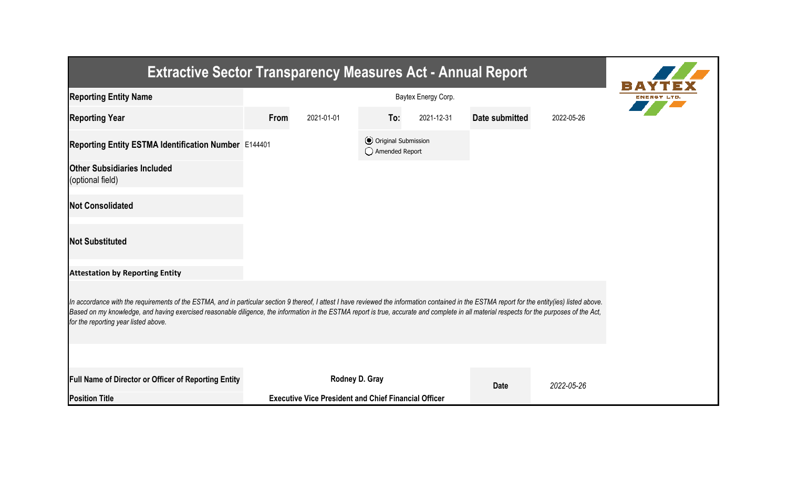| <b>Extractive Sector Transparency Measures Act - Annual Report</b>                                                                                                                                                                                                                                                                                                                                                                    |      |                                                             |                                                  |            |                |            |  |  |  |  |
|---------------------------------------------------------------------------------------------------------------------------------------------------------------------------------------------------------------------------------------------------------------------------------------------------------------------------------------------------------------------------------------------------------------------------------------|------|-------------------------------------------------------------|--------------------------------------------------|------------|----------------|------------|--|--|--|--|
| <b>Reporting Entity Name</b>                                                                                                                                                                                                                                                                                                                                                                                                          |      | ENERGY LT                                                   |                                                  |            |                |            |  |  |  |  |
| <b>Reporting Year</b>                                                                                                                                                                                                                                                                                                                                                                                                                 | From | 2021-01-01                                                  | To:                                              | 2021-12-31 | Date submitted | 2022-05-26 |  |  |  |  |
| Reporting Entity ESTMA Identification Number E144401                                                                                                                                                                                                                                                                                                                                                                                  |      |                                                             | <b>⊙</b> Original Submission<br>◯ Amended Report |            |                |            |  |  |  |  |
| <b>Other Subsidiaries Included</b><br>(optional field)                                                                                                                                                                                                                                                                                                                                                                                |      |                                                             |                                                  |            |                |            |  |  |  |  |
| <b>Not Consolidated</b>                                                                                                                                                                                                                                                                                                                                                                                                               |      |                                                             |                                                  |            |                |            |  |  |  |  |
| <b>Not Substituted</b>                                                                                                                                                                                                                                                                                                                                                                                                                |      |                                                             |                                                  |            |                |            |  |  |  |  |
| <b>Attestation by Reporting Entity</b>                                                                                                                                                                                                                                                                                                                                                                                                |      |                                                             |                                                  |            |                |            |  |  |  |  |
| In accordance with the requirements of the ESTMA, and in particular section 9 thereof, I attest I have reviewed the information contained in the ESTMA report for the entity(ies) listed above.<br>Based on my knowledge, and having exercised reasonable diligence, the information in the ESTMA report is true, accurate and complete in all material respects for the purposes of the Act,<br>for the reporting year listed above. |      |                                                             |                                                  |            |                |            |  |  |  |  |
|                                                                                                                                                                                                                                                                                                                                                                                                                                       |      |                                                             |                                                  |            |                |            |  |  |  |  |
| <b>Full Name of Director or Officer of Reporting Entity</b>                                                                                                                                                                                                                                                                                                                                                                           |      | Rodney D. Gray                                              |                                                  |            | <b>Date</b>    | 2022-05-26 |  |  |  |  |
| <b>Position Title</b>                                                                                                                                                                                                                                                                                                                                                                                                                 |      | <b>Executive Vice President and Chief Financial Officer</b> |                                                  |            |                |            |  |  |  |  |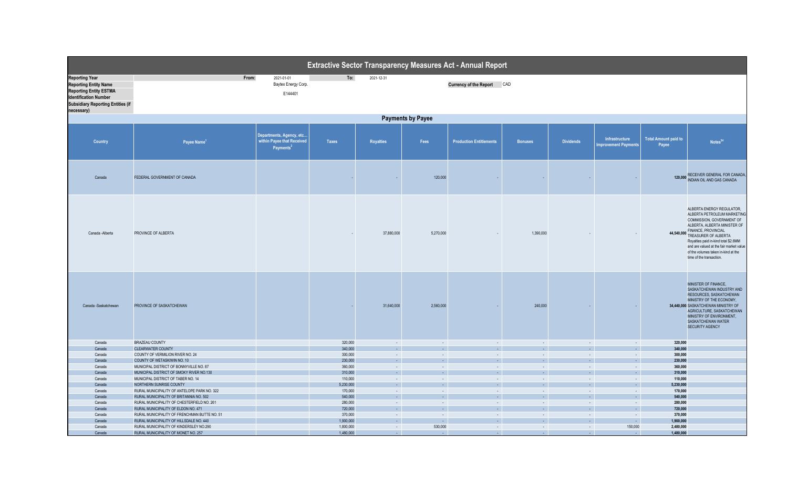| Extractive Sector Transparency Measures Act - Annual Report                                                                                                                      |                                                                                        |                                                                                 |                    |                            |                     |                                |                               |                  |                                               |                                      |                                                                                                                                                                                                                                                                                                                                       |  |
|----------------------------------------------------------------------------------------------------------------------------------------------------------------------------------|----------------------------------------------------------------------------------------|---------------------------------------------------------------------------------|--------------------|----------------------------|---------------------|--------------------------------|-------------------------------|------------------|-----------------------------------------------|--------------------------------------|---------------------------------------------------------------------------------------------------------------------------------------------------------------------------------------------------------------------------------------------------------------------------------------------------------------------------------------|--|
| <b>Reporting Year</b><br><b>Reporting Entity Name</b><br><b>Reporting Entity ESTMA</b><br><b>Identification Number</b><br><b>Subsidiary Reporting Entities (if</b><br>necessary) | From:                                                                                  | 2021-01-01<br>Baytex Energy Corp.<br>E144401                                    | To:                | 2021-12-31                 |                     | Currency of the Report CAD     |                               |                  |                                               |                                      |                                                                                                                                                                                                                                                                                                                                       |  |
|                                                                                                                                                                                  | <b>Payments by Payee</b>                                                               |                                                                                 |                    |                            |                     |                                |                               |                  |                                               |                                      |                                                                                                                                                                                                                                                                                                                                       |  |
| <b>Country</b>                                                                                                                                                                   | Payee Name <sup>1</sup>                                                                | Departments, Agency, etc<br>within Payee that Received<br>Payments <sup>2</sup> | <b>Taxes</b>       | <b>Royalties</b>           | Fees                | <b>Production Entitlements</b> | <b>Bonuses</b>                | <b>Dividends</b> | Infrastructure<br><b>Improvement Payments</b> | <b>Total Amount paid to</b><br>Payee | Notes <sup>34</sup>                                                                                                                                                                                                                                                                                                                   |  |
| Canada                                                                                                                                                                           | FEDERAL GOVERNMENT OF CANADA                                                           |                                                                                 |                    |                            | 120,000             |                                |                               | $\sim$           |                                               | 120,000                              | RECEIVER GENERAL FOR CANADA,<br>INDIAN OIL AND GAS CANADA                                                                                                                                                                                                                                                                             |  |
| Canada - Alberta                                                                                                                                                                 | PROVINCE OF ALBERTA                                                                    |                                                                                 |                    | 37,880,000                 | 5,270,000           |                                | 1,390,000                     |                  |                                               |                                      | ALBERTA ENERGY REGULATOR,<br>ALBERTA PETROLEUM MARKETING<br>COMMISSION, GOVERNMENT OF<br>ALBERTA, ALBERTA MINISTER OF<br>44,540,000 FINANCE, PROVINCIAL<br>TREASURER OF ALBERTA<br>Royalties paid in-kind total \$2.6MM<br>and are valued at the fair market value<br>of the volumes taken in-kind at the<br>time of the transaction. |  |
| Canada -Saskatchewan                                                                                                                                                             | PROVINCE OF SASKATCHEWAN                                                               |                                                                                 |                    | 31,640,000                 | 2,560,000           |                                | 240,000                       |                  |                                               |                                      | MINISTER OF FINANCE.<br>SASKATCHEWAN INDUSTRY AND<br>RESOURCES, SASKATCHEWAN<br>MINISTRY OF THE ECONOMY,<br>34,440,000 SASKATCHEWAN MINISTRY OF<br>AGRICULTURE, SASKATCHEWAN<br>MINISTRY OF ENVIRONMENT,<br>SASKATCHEWAN WATER<br>SECURITY AGENCY                                                                                     |  |
| Canada                                                                                                                                                                           | BRAZEAU COUNTY                                                                         |                                                                                 | 320,000            | $\sim$                     | $\sim$              | $\sim$                         | $\sim$                        | $\sim$           | $\sim$ $-$                                    | 320,000                              |                                                                                                                                                                                                                                                                                                                                       |  |
| Canada                                                                                                                                                                           | <b>CLEARWATER COUNTY</b>                                                               |                                                                                 | 340,000            | ie il                      | $\sim$              | $\sim$                         | $\sim$ .                      | $\sim$           | $\sim$ 1                                      | 340,000                              |                                                                                                                                                                                                                                                                                                                                       |  |
| Canada<br>Canada                                                                                                                                                                 | COUNTY OF VERMILION RIVER NO. 24<br>COUNTY OF WETASKIWIN NO. 10                        |                                                                                 | 300,000<br>230,000 | $\sim$<br>$\sim$           | $\sim$<br>$\sim$    | $\sim$<br>$\sim$               | $\sim$<br>$\mathcal{L}^{\pm}$ | $\sim$<br>$\sim$ | $\sim$<br>$\sim$                              | 300,000<br>230.000                   |                                                                                                                                                                                                                                                                                                                                       |  |
| Canada                                                                                                                                                                           | MUNICIPAL DISTRICT OF BONNYVILLE NO. 87                                                |                                                                                 | 360,000            | $\sim$                     | $\sim$              | $\sim$                         | $\sim$                        | $\sim$           | $\sim$                                        | 360,000                              |                                                                                                                                                                                                                                                                                                                                       |  |
| Canada                                                                                                                                                                           | MUNICIPAL DISTRICT OF SMOKY RIVER NO.130                                               |                                                                                 | 310,000            | $\sim$                     | G.                  | $\mathcal{L}^{\pm}$            | $\sim$                        | $\sim$           | $\sim$                                        | 310,000                              |                                                                                                                                                                                                                                                                                                                                       |  |
| Canada                                                                                                                                                                           | MUNICIPAL DISTRICT OF TABER NO. 14                                                     |                                                                                 | 110,000            | $\sim$                     | $\sim$              | $\sim$                         | $\sim$                        | $\sim$           | $\sim$                                        | 110,000                              |                                                                                                                                                                                                                                                                                                                                       |  |
| Canada                                                                                                                                                                           | NORTHERN SUNRISE COUNTY                                                                |                                                                                 | 5,230,000          | is 11                      | - 1                 | $\sim$ .                       | $\sim$                        | $\sim$           | $\sim$ $\sim$                                 | 5,230,000                            |                                                                                                                                                                                                                                                                                                                                       |  |
| Canada<br>Canada                                                                                                                                                                 | RURAL MUNICIPALITY OF ANTELOPE PARK NO. 322<br>RURAL MUNICIPALITY OF BRITANNIA NO. 502 |                                                                                 | 170,000<br>540,000 | $\sim$ $^{-1}$<br>$\sim$ . | $\sim$<br>$\sim$    | $\sim$<br>$\sim$               | $\sim$<br>$\sim$              | $\sim$<br>$\sim$ | $\sim$<br>$\sim$                              | 170,000<br>540,000                   |                                                                                                                                                                                                                                                                                                                                       |  |
| Canada                                                                                                                                                                           | RURAL MUNICIPALITY OF CHESTERFIELD NO. 261                                             |                                                                                 | 280,000            | $\sim$ $^{-1}$             | $\sim$              | $\sim$                         | $\sim$                        | $\sim$           | $\sim$                                        | 280,000                              |                                                                                                                                                                                                                                                                                                                                       |  |
| Canada                                                                                                                                                                           | RURAL MUNICIPALITY OF ELDON NO. 471                                                    |                                                                                 | 720,000            | $\sim$                     | $\omega_{\rm c}$    | $\sim$                         | $\omega_{\rm{eff}}$           | $\sim$           | $\sim$                                        | 720,000                              |                                                                                                                                                                                                                                                                                                                                       |  |
| Canada                                                                                                                                                                           | RURAL MUNICIPALITY OF FRENCHMAN BUTTE NO. 51                                           |                                                                                 | 370,000            | $\sim$                     | $\sim$              | $\sim$                         | $\sim$                        | $\sim$           | $\sim$                                        | 370,000                              |                                                                                                                                                                                                                                                                                                                                       |  |
| Canada                                                                                                                                                                           | RURAL MUNICIPALITY OF HILLSDALE NO. 440                                                |                                                                                 | 1,900,000          | $\sim$ $\sim$              | $\sim$              | $\sim$ .                       | $\sim$ .                      | $\sim$           | $\sim$                                        | 1,900,000                            |                                                                                                                                                                                                                                                                                                                                       |  |
| Canada                                                                                                                                                                           | RURAL MUNICIPALITY OF KINDERSLEY NO.290                                                |                                                                                 | 1,800,000          | $\sim$ $-$                 | 530,000             | $\sim$ $-$                     | $\sim$                        | $\sim$           | 150,000                                       | 2,480,000                            |                                                                                                                                                                                                                                                                                                                                       |  |
| Canada                                                                                                                                                                           | RURAL MUNICIPALITY OF MONET NO. 257                                                    |                                                                                 | 1,480,000          | $\sim$ 1                   | $\omega_{\rm{eff}}$ | $\sim 1$                       | A.                            | $\sim$           | $\sim$                                        | 1,480,000                            |                                                                                                                                                                                                                                                                                                                                       |  |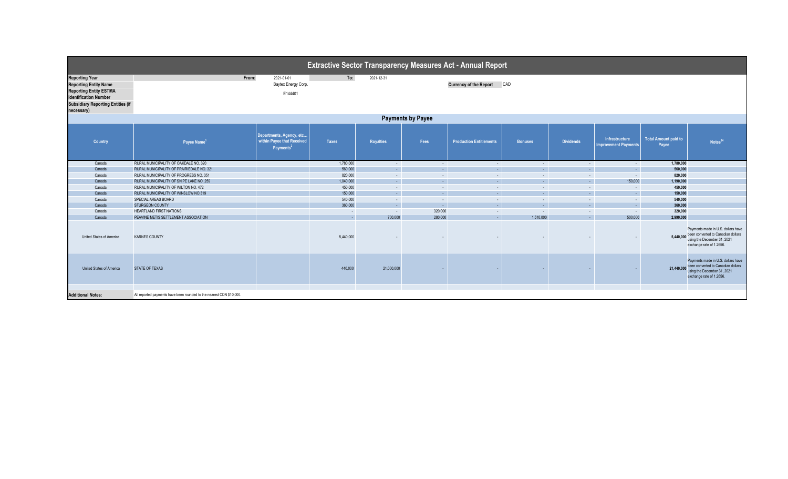| <b>Extractive Sector Transparency Measures Act - Annual Report</b>                                                                                                 |                                                                      |                                                                                 |                    |                   |                  |                                |                             |                  |                                               |                                      |                                                                                                                                                |  |
|--------------------------------------------------------------------------------------------------------------------------------------------------------------------|----------------------------------------------------------------------|---------------------------------------------------------------------------------|--------------------|-------------------|------------------|--------------------------------|-----------------------------|------------------|-----------------------------------------------|--------------------------------------|------------------------------------------------------------------------------------------------------------------------------------------------|--|
| <b>Reporting Year</b><br><b>Reporting Entity Name</b><br>Reporting Entity ESTMA<br>Identification Number<br><b>Subsidiary Reporting Entities (if</b><br>necessary) | From:                                                                | 2021-01-01<br>Baytex Energy Corp.<br>E144401                                    | To:                | 2021-12-31        |                  | <b>Currency of the Report</b>  | CAD                         |                  |                                               |                                      |                                                                                                                                                |  |
| <b>Payments by Payee</b>                                                                                                                                           |                                                                      |                                                                                 |                    |                   |                  |                                |                             |                  |                                               |                                      |                                                                                                                                                |  |
| Country                                                                                                                                                            | Payee Name <sup>1</sup>                                              | Departments, Agency, etc<br>within Payee that Received<br>Payments <sup>2</sup> | <b>Taxes</b>       | <b>Royalties</b>  | Fees             | <b>Production Entitlements</b> | <b>Bonuses</b>              | <b>Dividends</b> | Infrastructure<br><b>Improvement Payments</b> | <b>Total Amount paid to</b><br>Payee | Notes <sup>34</sup>                                                                                                                            |  |
| Canada                                                                                                                                                             | RURAL MUNICIPALITY OF OAKDALE NO. 320                                |                                                                                 | 1,780,000          | $\sim$            | $\sim$           | $\sim$                         | $\sim$                      | $\sim$           | $\sim$                                        | 1,780,000                            |                                                                                                                                                |  |
| Canada                                                                                                                                                             | RURAL MUNICIPALITY OF PRAIRIEDALE NO. 321                            |                                                                                 | 560,000            | $\sim$            | $\sim$           | ÷.                             | $\mathcal{L}^{\mathcal{A}}$ | $\sim$           | $\sim$                                        | 560,000                              |                                                                                                                                                |  |
| Canada                                                                                                                                                             | RURAL MUNICIPALITY OF PROGRESS NO. 351                               |                                                                                 | 820,000            | $\sim$            | $\sim$           | $\sim$                         | $\sim$                      | $\sim$           | $\sim$                                        | 820,000                              |                                                                                                                                                |  |
| Canada                                                                                                                                                             | RURAL MUNICIPALITY OF SNIPE LAKE NO. 259                             |                                                                                 | 1,040,000          | $\sim$            | $\sim$           | G.                             | $\sim$                      | $\sim$           | 150,000                                       | 1,190,000                            |                                                                                                                                                |  |
| Canada                                                                                                                                                             | RURAL MUNICIPALITY OF WILTON NO. 472                                 |                                                                                 | 450,000            | $\sim$<br>$\sim$  | $\sim$<br>$\sim$ | $\sim$<br>÷.                   | $\sim$<br>$\sim$            | $\sim$           | $\sim$ $-$                                    | 450,000                              |                                                                                                                                                |  |
| Canada                                                                                                                                                             | RURAL MUNICIPALITY OF WINSLOW NO.319                                 |                                                                                 | 150,000            |                   |                  |                                |                             | $\sim$           | <b>Contract</b>                               | 150,000                              |                                                                                                                                                |  |
| Canada<br>Canada                                                                                                                                                   | SPECIAL AREAS BOARD<br><b>STURGEON COUNTY</b>                        |                                                                                 | 540,000<br>360,000 | $\sim$            | $\sim$<br>$\sim$ | $\sim$<br>G.                   | $\sim$<br>$\sim$            | $\sim$           | $\sim$                                        | 540,000<br>360,000                   |                                                                                                                                                |  |
| Canada                                                                                                                                                             | <b>HEARTLAND FIRST NATIONS</b>                                       |                                                                                 |                    | $\sim 10$         | 320,000          | $\sim$                         | $\sim$                      | $\sim$           | $\sim$<br>$\sim$ $-$                          | 320,000                              |                                                                                                                                                |  |
| Canada                                                                                                                                                             | PEAVINE METIS SETTLEMENT ASSOCIATION                                 |                                                                                 | $\sim$<br>$\sim$   | $\sim$<br>700,000 | 280,000          | $\sim$                         | 1,510,000                   | $\sim$<br>$\sim$ | 500,000                                       | 2,990,000                            |                                                                                                                                                |  |
| United States of America                                                                                                                                           | <b>KARNES COUNTY</b>                                                 |                                                                                 | 5,440,000          |                   |                  |                                |                             |                  |                                               |                                      | Payments made in U.S. dollars have<br>5,440,000 been converted to Canadian dollars<br>using the December 31, 2021<br>exchange rate of 1.2656.  |  |
| United States of America                                                                                                                                           | STATE OF TEXAS                                                       |                                                                                 | 440,000            | 21,000,000        |                  |                                |                             |                  |                                               |                                      | Payments made in U.S. dollars have<br>21,440,000 been converted to Canadian dollars<br>using the December 31, 2021<br>exchange rate of 1.2656. |  |
| <b>Additional Notes:</b>                                                                                                                                           | All reported payments have been rounded to the nearest CDN \$10,000. |                                                                                 |                    |                   |                  |                                |                             |                  |                                               |                                      |                                                                                                                                                |  |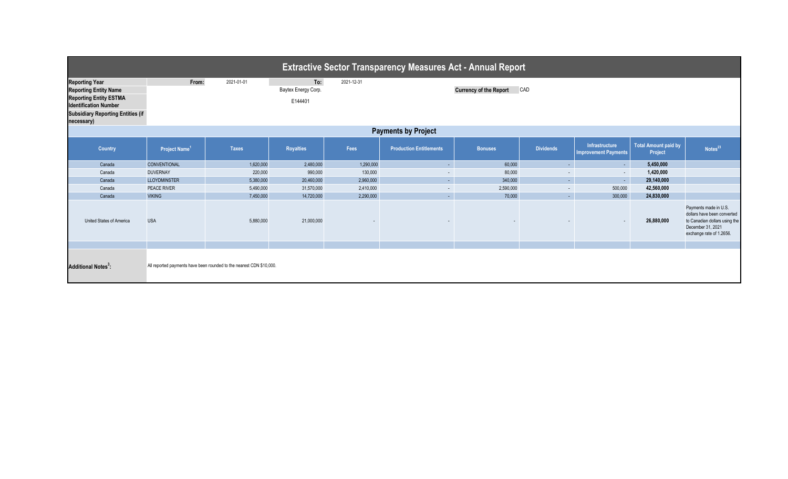| <b>Extractive Sector Transparency Measures Act - Annual Report</b>                                                                                                               |                           |                                                                      |                                       |            |                                      |                |                  |                                                      |                                        |                                                                                                                                        |  |  |
|----------------------------------------------------------------------------------------------------------------------------------------------------------------------------------|---------------------------|----------------------------------------------------------------------|---------------------------------------|------------|--------------------------------------|----------------|------------------|------------------------------------------------------|----------------------------------------|----------------------------------------------------------------------------------------------------------------------------------------|--|--|
| <b>Reporting Year</b><br><b>Reporting Entity Name</b><br><b>Reporting Entity ESTMA</b><br><b>Identification Number</b><br><b>Subsidiary Reporting Entities (if</b><br>necessary) | From:                     | 2021-01-01                                                           | To:<br>Baytex Energy Corp.<br>E144401 | 2021-12-31 | <b>Currency of the Report</b><br>CAD |                |                  |                                                      |                                        |                                                                                                                                        |  |  |
| <b>Payments by Project</b>                                                                                                                                                       |                           |                                                                      |                                       |            |                                      |                |                  |                                                      |                                        |                                                                                                                                        |  |  |
| <b>Country</b>                                                                                                                                                                   | Project Name <sup>1</sup> | <b>Taxes</b>                                                         | <b>Royalties</b>                      | Fees       | <b>Production Entitlements</b>       | <b>Bonuses</b> | <b>Dividends</b> | <b>Infrastructure</b><br><b>Improvement Payments</b> | <b>Total Amount paid by</b><br>Project | Notes <sup>23</sup>                                                                                                                    |  |  |
| Canada                                                                                                                                                                           | CONVENTIONAL              | 1,620,000                                                            | 2,480,000                             | 1,290,000  | $\omega_{\rm{eff}}$                  | 60,000         | $\sim 10$        | $\sim$                                               | 5,450,000                              |                                                                                                                                        |  |  |
| Canada                                                                                                                                                                           | <b>DUVERNAY</b>           | 220,000                                                              | 990,000                               | 130,000    | $\sim$                               | 80,000         | $\sim$           | $\sim$                                               | 1,420,000                              |                                                                                                                                        |  |  |
| Canada                                                                                                                                                                           | <b>LLOYDMINSTER</b>       | 5,380,000                                                            | 20,460,000                            | 2,960,000  | $\omega_{\rm{eff}}$                  | 340,000        | $\sim 10$        | $\sim$                                               | 29,140,000                             |                                                                                                                                        |  |  |
| Canada                                                                                                                                                                           | PEACE RIVER               | 5,490,000                                                            | 31,570,000                            | 2,410,000  | $\sim$                               | 2,590,000      | $\sim$           | 500,000                                              | 42,560,000                             |                                                                                                                                        |  |  |
| Canada                                                                                                                                                                           | <b>VIKING</b>             | 7,450,000                                                            | 14,720,000                            | 2,290,000  | $\omega_{\rm c}$                     | 70,000         | $\Delta \sim 1$  | 300,000                                              | 24,830,000                             |                                                                                                                                        |  |  |
| United States of America                                                                                                                                                         | <b>USA</b>                | 5,880,000                                                            | 21,000,000                            |            |                                      |                |                  |                                                      | 26,880,000                             | Payments made in U.S.<br>dollars have been converted<br>to Canadian dollars using the<br>December 31, 2021<br>exchange rate of 1.2656. |  |  |
|                                                                                                                                                                                  |                           |                                                                      |                                       |            |                                      |                |                  |                                                      |                                        |                                                                                                                                        |  |  |
| <b>Additional Notes<sup>3</sup>:</b>                                                                                                                                             |                           | All reported payments have been rounded to the nearest CDN \$10,000. |                                       |            |                                      |                |                  |                                                      |                                        |                                                                                                                                        |  |  |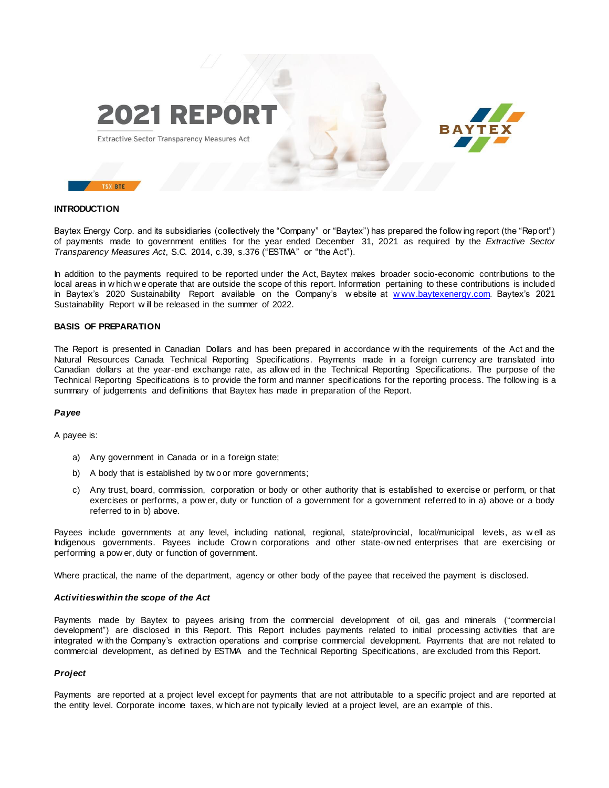

Extractive Sector Transparency Measures Act



# **INTRODUCTION**

Baytex Energy Corp. and its subsidiaries (collectively the "Company" or "Baytex") has prepared the follow ing report (the "Report") of payments made to government entities for the year ended December 31, 2021 as required by the *Extractive Sector Transparency Measures Act*, S.C. 2014, c.39, s.376 ("ESTMA" or "the Act").

In addition to the payments required to be reported under the Act, Baytex makes broader socio-economic contributions to the local areas in w hich w e operate that are outside the scope of this report. Information pertaining to these contributions is included in Baytex's 2020 Sustainability Report available on the Company's w ebsite at [w ww.baytexenergy.com.](http://www.baytexenergy.com/) Baytex's 2021 Sustainability Report w ill be released in the summer of 2022.

#### **BASIS OF PREPARATION**

The Report is presented in Canadian Dollars and has been prepared in accordance w ith the requirements of the Act and the Natural Resources Canada Technical Reporting Specifications. Payments made in a foreign currency are translated into Canadian dollars at the year-end exchange rate, as allow ed in the Technical Reporting Specifications. The purpose of the Technical Reporting Specifications is to provide the form and manner specifications for the reporting process. The follow ing is a summary of judgements and definitions that Baytex has made in preparation of the Report.

#### *Payee*

A payee is:

- a) Any government in Canada or in a foreign state;
- b) A body that is established by tw o or more governments;
- c) Any trust, board, commission, corporation or body or other authority that is established to exercise or perform, or that exercises or performs, a pow er, duty or function of a government for a government referred to in a) above or a body referred to in b) above.

Payees include governments at any level, including national, regional, state/provincial, local/municipal levels, as w ell as Indigenous governments. Payees include Crow n corporations and other state-ow ned enterprises that are exercising or performing a pow er, duty or function of government.

Where practical, the name of the department, agency or other body of the payee that received the payment is disclosed.

#### *Activities within the scope of the Act*

Payments made by Baytex to payees arising from the commercial development of oil, gas and minerals ("commercial development") are disclosed in this Report. This Report includes payments related to initial processing activities that are integrated w ith the Company's extraction operations and comprise commercial development. Payments that are not related to commercial development, as defined by ESTMA and the Technical Reporting Specifications, are excluded from this Report.

#### *Project*

Payments are reported at a project level except for payments that are not attributable to a specific project and are reported at the entity level. Corporate income taxes, w hich are not typically levied at a project level, are an example of this.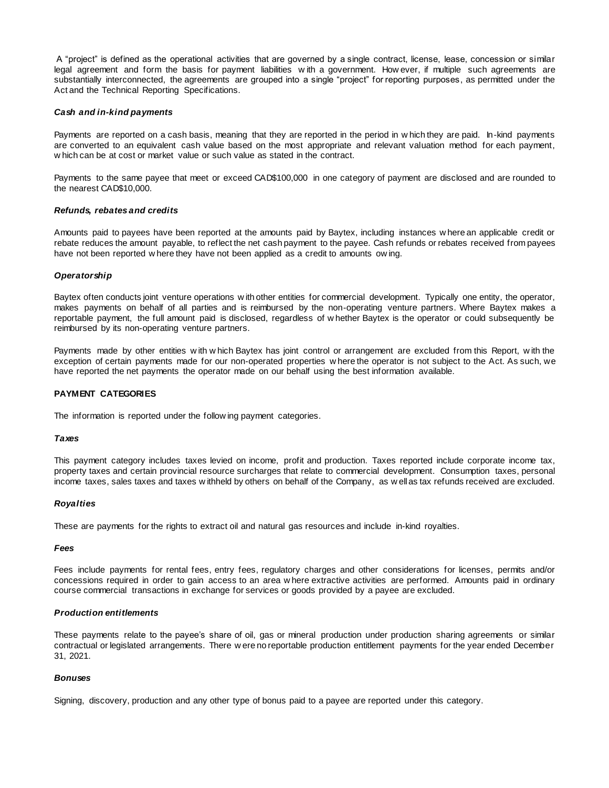A "project" is defined as the operational activities that are governed by a single contract, license, lease, concession or similar legal agreement and form the basis for payment liabilities w ith a government. How ever, if multiple such agreements are substantially interconnected, the agreements are grouped into a single "project" for reporting purposes, as permitted under the Act and the Technical Reporting Specifications.

## *Cash and in-kind payments*

Payments are reported on a cash basis, meaning that they are reported in the period in w hich they are paid. In-kind payments are converted to an equivalent cash value based on the most appropriate and relevant valuation method for each payment, w hich can be at cost or market value or such value as stated in the contract.

Payments to the same payee that meet or exceed CAD\$100,000 in one category of payment are disclosed and are rounded to the nearest CAD\$10,000.

#### *Refunds, rebates and credits*

Amounts paid to payees have been reported at the amounts paid by Baytex, including instances w here an applicable credit or rebate reduces the amount payable, to reflect the net cash payment to the payee. Cash refunds or rebates received from payees have not been reported w here they have not been applied as a credit to amounts ow ing.

## *Operatorship*

Baytex often conducts joint venture operations w ith other entities for commercial development. Typically one entity, the operator, makes payments on behalf of all parties and is reimbursed by the non-operating venture partners. Where Baytex makes a reportable payment, the full amount paid is disclosed, regardless of w hether Baytex is the operator or could subsequently be reimbursed by its non-operating venture partners.

Payments made by other entities w ith w hich Baytex has joint control or arrangement are excluded from this Report, w ith the exception of certain payments made for our non-operated properties w here the operator is not subject to the Act. As such, we have reported the net payments the operator made on our behalf using the best information available.

### **PAYMENT CATEGORIES**

The information is reported under the follow ing payment categories.

#### *Taxes*

This payment category includes taxes levied on income, profit and production. Taxes reported include corporate income tax, property taxes and certain provincial resource surcharges that relate to commercial development. Consumption taxes, personal income taxes, sales taxes and taxes w ithheld by others on behalf of the Company, as w ell as tax refunds received are excluded.

#### *Royalties*

These are payments for the rights to extract oil and natural gas resources and include in-kind royalties.

#### *Fees*

Fees include payments for rental fees, entry fees, regulatory charges and other considerations for licenses, permits and/or concessions required in order to gain access to an area w here extractive activities are performed. Amounts paid in ordinary course commercial transactions in exchange for services or goods provided by a payee are excluded.

## *Production entitlements*

These payments relate to the payee's share of oil, gas or mineral production under production sharing agreements or similar contractual or legislated arrangements. There w ere no reportable production entitlement payments for the year ended December 31, 2021.

### *Bonuses*

Signing, discovery, production and any other type of bonus paid to a payee are reported under this category.